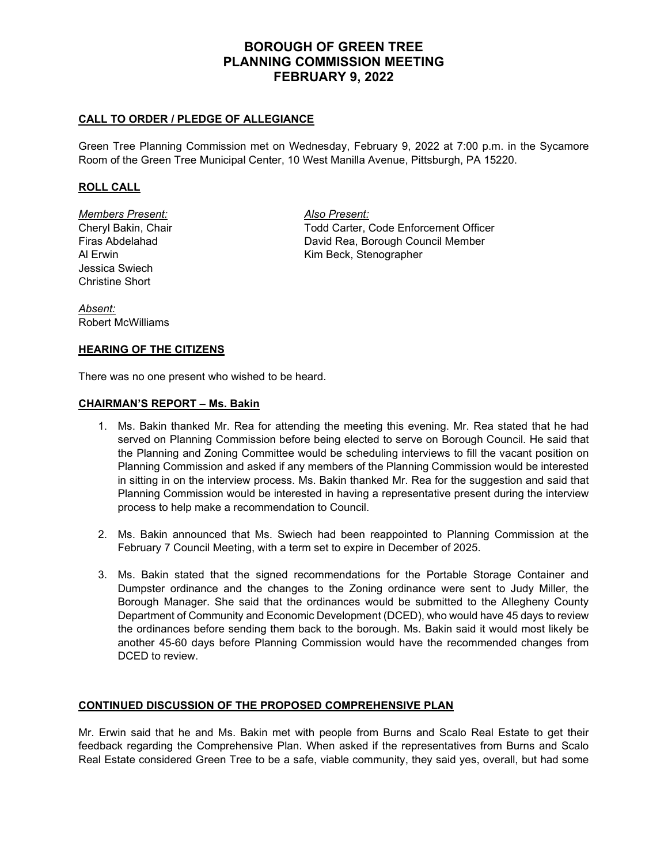# **BOROUGH OF GREEN TREE PLANNING COMMISSION MEETING FEBRUARY 9, 2022**

## **CALL TO ORDER / PLEDGE OF ALLEGIANCE**

Green Tree Planning Commission met on Wednesday, February 9, 2022 at 7:00 p.m. in the Sycamore Room of the Green Tree Municipal Center, 10 West Manilla Avenue, Pittsburgh, PA 15220.

### **ROLL CALL**

*Members Present: Also Present:* Jessica Swiech Christine Short

Cheryl Bakin, Chair **The Cheryl Bakin, Chair** Todd Carter, Code Enforcement Officer<br>Firas Abdelahad **The Cheryl Counct Control** David Rea, Borough Council Member David Rea, Borough Council Member Al Erwin Kim Beck, Stenographer

*Absent:* Robert McWilliams

#### **HEARING OF THE CITIZENS**

There was no one present who wished to be heard.

#### **CHAIRMAN'S REPORT – Ms. Bakin**

- 1. Ms. Bakin thanked Mr. Rea for attending the meeting this evening. Mr. Rea stated that he had served on Planning Commission before being elected to serve on Borough Council. He said that the Planning and Zoning Committee would be scheduling interviews to fill the vacant position on Planning Commission and asked if any members of the Planning Commission would be interested in sitting in on the interview process. Ms. Bakin thanked Mr. Rea for the suggestion and said that Planning Commission would be interested in having a representative present during the interview process to help make a recommendation to Council.
- 2. Ms. Bakin announced that Ms. Swiech had been reappointed to Planning Commission at the February 7 Council Meeting, with a term set to expire in December of 2025.
- 3. Ms. Bakin stated that the signed recommendations for the Portable Storage Container and Dumpster ordinance and the changes to the Zoning ordinance were sent to Judy Miller, the Borough Manager. She said that the ordinances would be submitted to the Allegheny County Department of Community and Economic Development (DCED), who would have 45 days to review the ordinances before sending them back to the borough. Ms. Bakin said it would most likely be another 45-60 days before Planning Commission would have the recommended changes from DCED to review.

#### **CONTINUED DISCUSSION OF THE PROPOSED COMPREHENSIVE PLAN**

Mr. Erwin said that he and Ms. Bakin met with people from Burns and Scalo Real Estate to get their feedback regarding the Comprehensive Plan. When asked if the representatives from Burns and Scalo Real Estate considered Green Tree to be a safe, viable community, they said yes, overall, but had some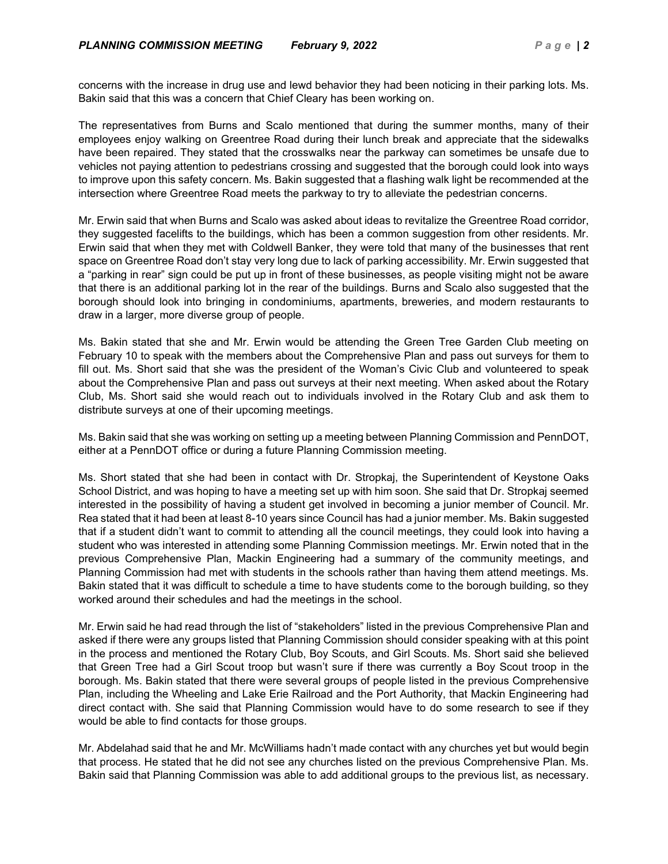concerns with the increase in drug use and lewd behavior they had been noticing in their parking lots. Ms. Bakin said that this was a concern that Chief Cleary has been working on.

The representatives from Burns and Scalo mentioned that during the summer months, many of their employees enjoy walking on Greentree Road during their lunch break and appreciate that the sidewalks have been repaired. They stated that the crosswalks near the parkway can sometimes be unsafe due to vehicles not paying attention to pedestrians crossing and suggested that the borough could look into ways to improve upon this safety concern. Ms. Bakin suggested that a flashing walk light be recommended at the intersection where Greentree Road meets the parkway to try to alleviate the pedestrian concerns.

Mr. Erwin said that when Burns and Scalo was asked about ideas to revitalize the Greentree Road corridor, they suggested facelifts to the buildings, which has been a common suggestion from other residents. Mr. Erwin said that when they met with Coldwell Banker, they were told that many of the businesses that rent space on Greentree Road don't stay very long due to lack of parking accessibility. Mr. Erwin suggested that a "parking in rear" sign could be put up in front of these businesses, as people visiting might not be aware that there is an additional parking lot in the rear of the buildings. Burns and Scalo also suggested that the borough should look into bringing in condominiums, apartments, breweries, and modern restaurants to draw in a larger, more diverse group of people.

Ms. Bakin stated that she and Mr. Erwin would be attending the Green Tree Garden Club meeting on February 10 to speak with the members about the Comprehensive Plan and pass out surveys for them to fill out. Ms. Short said that she was the president of the Woman's Civic Club and volunteered to speak about the Comprehensive Plan and pass out surveys at their next meeting. When asked about the Rotary Club, Ms. Short said she would reach out to individuals involved in the Rotary Club and ask them to distribute surveys at one of their upcoming meetings.

Ms. Bakin said that she was working on setting up a meeting between Planning Commission and PennDOT, either at a PennDOT office or during a future Planning Commission meeting.

Ms. Short stated that she had been in contact with Dr. Stropkaj, the Superintendent of Keystone Oaks School District, and was hoping to have a meeting set up with him soon. She said that Dr. Stropkaj seemed interested in the possibility of having a student get involved in becoming a junior member of Council. Mr. Rea stated that it had been at least 8-10 years since Council has had a junior member. Ms. Bakin suggested that if a student didn't want to commit to attending all the council meetings, they could look into having a student who was interested in attending some Planning Commission meetings. Mr. Erwin noted that in the previous Comprehensive Plan, Mackin Engineering had a summary of the community meetings, and Planning Commission had met with students in the schools rather than having them attend meetings. Ms. Bakin stated that it was difficult to schedule a time to have students come to the borough building, so they worked around their schedules and had the meetings in the school.

Mr. Erwin said he had read through the list of "stakeholders" listed in the previous Comprehensive Plan and asked if there were any groups listed that Planning Commission should consider speaking with at this point in the process and mentioned the Rotary Club, Boy Scouts, and Girl Scouts. Ms. Short said she believed that Green Tree had a Girl Scout troop but wasn't sure if there was currently a Boy Scout troop in the borough. Ms. Bakin stated that there were several groups of people listed in the previous Comprehensive Plan, including the Wheeling and Lake Erie Railroad and the Port Authority, that Mackin Engineering had direct contact with. She said that Planning Commission would have to do some research to see if they would be able to find contacts for those groups.

Mr. Abdelahad said that he and Mr. McWilliams hadn't made contact with any churches yet but would begin that process. He stated that he did not see any churches listed on the previous Comprehensive Plan. Ms. Bakin said that Planning Commission was able to add additional groups to the previous list, as necessary.